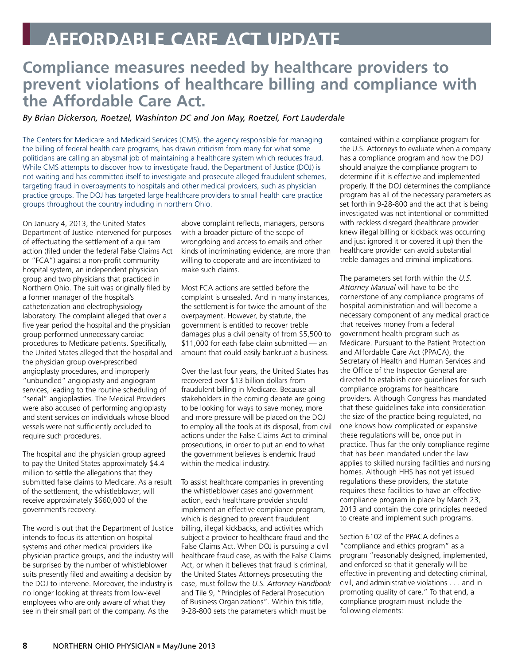## **Affordable Care Act Update**

## **Compliance measures needed by healthcare providers to prevent violations of healthcare billing and compliance with the Affordable Care Act.**

## *By Brian Dickerson, Roetzel, Washinton DC and Jon May, Roetzel, Fort Lauderdale*

The Centers for Medicare and Medicaid Services (CMS), the agency responsible for managing the billing of federal health care programs, has drawn criticism from many for what some politicians are calling an abysmal job of maintaining a healthcare system which reduces fraud. While CMS attempts to discover how to investigate fraud, the Department of Justice (DOJ) is not waiting and has committed itself to investigate and prosecute alleged fraudulent schemes, targeting fraud in overpayments to hospitals and other medical providers, such as physician practice groups. The DOJ has targeted large healthcare providers to small health care practice groups throughout the country including in northern Ohio.

On January 4, 2013, the United States Department of Justice intervened for purposes of effectuating the settlement of a qui tam action (filed under the federal False Claims Act or "FCA") against a non-profit community hospital system, an independent physician group and two physicians that practiced in Northern Ohio. The suit was originally filed by a former manager of the hospital's catheterization and electrophysiology laboratory. The complaint alleged that over a five year period the hospital and the physician group performed unnecessary cardiac procedures to Medicare patients. Specifically, the United States alleged that the hospital and the physician group over-prescribed angioplasty procedures, and improperly "unbundled" angioplasty and angiogram services, leading to the routine scheduling of "serial" angioplasties. The Medical Providers were also accused of performing angioplasty and stent services on individuals whose blood vessels were not sufficiently occluded to require such procedures.

The hospital and the physician group agreed to pay the United States approximately \$4.4 million to settle the allegations that they submitted false claims to Medicare. As a result of the settlement, the whistleblower, will receive approximately \$660,000 of the government's recovery.

The word is out that the Department of Justice intends to focus its attention on hospital systems and other medical providers like physician practice groups, and the industry will be surprised by the number of whistleblower suits presently filed and awaiting a decision by the DOJ to intervene. Moreover, the industry is no longer looking at threats from low-level employees who are only aware of what they see in their small part of the company. As the

above complaint reflects, managers, persons with a broader picture of the scope of wrongdoing and access to emails and other kinds of incriminating evidence, are more than willing to cooperate and are incentivized to make such claims.

Most FCA actions are settled before the complaint is unsealed. And in many instances, the settlement is for twice the amount of the overpayment. However, by statute, the government is entitled to recover treble damages plus a civil penalty of from \$5,500 to \$11,000 for each false claim submitted — an amount that could easily bankrupt a business.

Over the last four years, the United States has recovered over \$13 billion dollars from fraudulent billing in Medicare. Because all stakeholders in the coming debate are going to be looking for ways to save money, more and more pressure will be placed on the DOJ to employ all the tools at its disposal, from civil actions under the False Claims Act to criminal prosecutions, in order to put an end to what the government believes is endemic fraud within the medical industry.

To assist healthcare companies in preventing the whistleblower cases and government action, each healthcare provider should implement an effective compliance program, which is designed to prevent fraudulent billing, illegal kickbacks, and activities which subject a provider to healthcare fraud and the False Claims Act. When DOJ is pursuing a civil healthcare fraud case, as with the False Claims Act, or when it believes that fraud is criminal, the United States Attorneys prosecuting the case, must follow the *U.S. Attorney Handbook* and Tile 9, "Principles of Federal Prosecution of Business Organizations". Within this title, 9-28-800 sets the parameters which must be

contained within a compliance program for the U.S. Attorneys to evaluate when a company has a compliance program and how the DOJ should analyze the compliance program to determine if it is effective and implemented properly. If the DOJ determines the compliance program has all of the necessary parameters as set forth in 9-28-800 and the act that is being investigated was not intentional or committed with reckless disregard (healthcare provider knew illegal billing or kickback was occurring and just ignored it or covered it up) then the healthcare provider can avoid substantial treble damages and criminal implications.

The parameters set forth within the *U.S. Attorney Manual* will have to be the cornerstone of any compliance programs of hospital administration and will become a necessary component of any medical practice that receives money from a federal government health program such as Medicare. Pursuant to the Patient Protection and Affordable Care Act (PPACA), the Secretary of Health and Human Services and the Office of the Inspector General are directed to establish core guidelines for such compliance programs for healthcare providers. Although Congress has mandated that these guidelines take into consideration the size of the practice being regulated, no one knows how complicated or expansive these regulations will be, once put in practice. Thus far the only compliance regime that has been mandated under the law applies to skilled nursing facilities and nursing homes. Although HHS has not yet issued regulations these providers, the statute requires these facilities to have an effective compliance program in place by March 23, 2013 and contain the core principles needed to create and implement such programs.

Section 6102 of the PPACA defines a "compliance and ethics program" as a program "reasonably designed, implemented, and enforced so that it generally will be effective in preventing and detecting criminal, civil, and administrative violations . . . and in promoting quality of care." To that end, a compliance program must include the following elements: